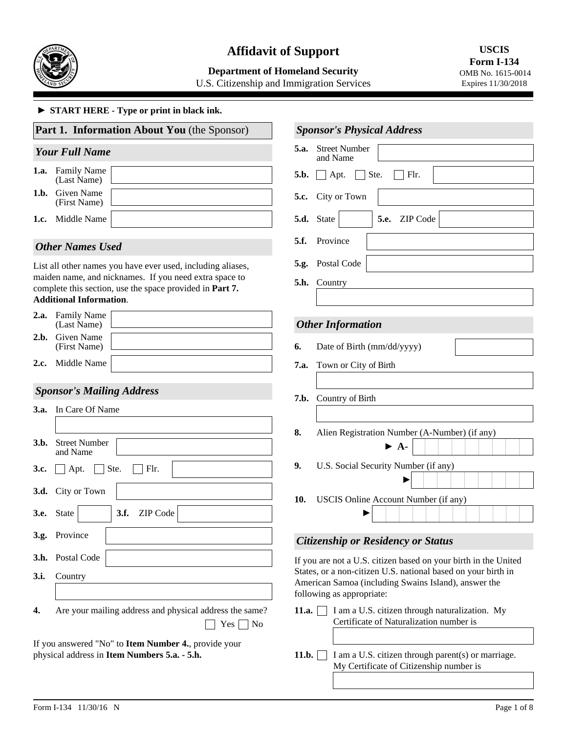

# **Affidavit of Support**

## **Department of Homeland Security**

U.S. Citizenship and Immigration Services

#### ► **START HERE - Type or print in black ink.**

|              |                                    | Part 1. Information About You (the Sponsor)                                                                                                                                       |                                 | <b>Sponsor's Physica</b>                                                     |
|--------------|------------------------------------|-----------------------------------------------------------------------------------------------------------------------------------------------------------------------------------|---------------------------------|------------------------------------------------------------------------------|
|              | <b>Your Full Name</b>              |                                                                                                                                                                                   | 5.a.                            | <b>Street Number</b><br>and Name                                             |
| 1.a.         | <b>Family Name</b><br>(Last Name)  |                                                                                                                                                                                   | 5.b.                            | Ste<br>$\Box$ Apt.                                                           |
| 1.b.         | Given Name<br>(First Name)         |                                                                                                                                                                                   | 5.c.                            | City or Town                                                                 |
| 1.c.         | Middle Name                        |                                                                                                                                                                                   | 5.d.                            | State                                                                        |
|              | <b>Other Names Used</b>            |                                                                                                                                                                                   | 5.f.                            | Province                                                                     |
|              | <b>Additional Information.</b>     | List all other names you have ever used, including aliases,<br>maiden name, and nicknames. If you need extra space to<br>complete this section, use the space provided in Part 7. | 5.g.<br>5.h.                    | Postal Code<br>Country                                                       |
| 2.a.         | <b>Family Name</b><br>(Last Name)  |                                                                                                                                                                                   |                                 | <b>Other Information</b>                                                     |
| 2.b.         | Given Name<br>(First Name)         |                                                                                                                                                                                   | 6.                              | Date of Birth (mi                                                            |
| 2.c.         | Middle Name                        |                                                                                                                                                                                   | 7.a.                            | Town or City of I                                                            |
|              | <b>Sponsor's Mailing Address</b>   |                                                                                                                                                                                   |                                 |                                                                              |
| 3.a.         | In Care Of Name                    |                                                                                                                                                                                   | 7.b.                            | Country of Birth                                                             |
| 3.b.         | <b>Street Number</b><br>and Name   |                                                                                                                                                                                   | 8.                              | Alien Registratio                                                            |
| 3.c.         | Apt.                               | Ste.<br>Flr.                                                                                                                                                                      | 9.                              | U.S. Social Secu                                                             |
| 3.d.<br>3.e. | City or Town<br><b>State</b><br>▼∣ | 3.f.<br><b>ZIP</b> Code                                                                                                                                                           | 10.                             | <b>USCIS Online A</b>                                                        |
|              | 3.g. Province                      |                                                                                                                                                                                   |                                 | <b>Citizenship or Res</b>                                                    |
|              | 3.h. Postal Code                   |                                                                                                                                                                                   |                                 | If you are not a U.S. ci                                                     |
| 3.i.         | Country                            |                                                                                                                                                                                   |                                 | States, or a non-citizen<br>American Samoa (inclu<br>following as appropriat |
| 4.           |                                    | Are your mailing address and physical address the same?                                                                                                                           | 11.a.<br>Yes $\lceil$<br>$ $ No | I am a U.S.<br>Certificate o                                                 |
|              |                                    | If you answered "No" to Item Number 4., provide your<br>physical address in Item Numbers 5.a. - 5.h.                                                                              | 11.b.                           | I am a U.S.                                                                  |

|      | <b>Sponsor's Physical Address</b>                                         |  |  |
|------|---------------------------------------------------------------------------|--|--|
| 5.a. | <b>Street Number</b><br>and Name                                          |  |  |
| 5.b. | $\vert$ Ste.<br>$\Box$ Apt.<br>  Flr.                                     |  |  |
| 5.c. | City or Town                                                              |  |  |
| 5.d. | 5.e. ZIP Code<br>State                                                    |  |  |
| 5.f. | Province                                                                  |  |  |
| 5.g. | Postal Code                                                               |  |  |
| 5.h. | Country                                                                   |  |  |
|      |                                                                           |  |  |
|      | <b>Other Information</b>                                                  |  |  |
| 6.   | Date of Birth (mm/dd/yyyy)                                                |  |  |
| 7.a. | Town or City of Birth                                                     |  |  |
| 7.b. | Country of Birth                                                          |  |  |
| 8.   | Alien Registration Number (A-Number) (if any)<br>$\blacktriangleright$ A- |  |  |
| 9.   | U.S. Social Security Number (if any)                                      |  |  |
| 10.  | USCIS Online Account Number (if any)                                      |  |  |

# *Citizenship or Residency or Status*

tizen based on your birth in the United U.S. national based on your birth in uding Swains Island), answer the following as appropriate:

| Certificate of Naturalization number is | <b>1.a.</b> $\Box$ I am a U.S. citizen through naturalization. My |  |
|-----------------------------------------|-------------------------------------------------------------------|--|
|                                         |                                                                   |  |

 $citizen through parent(s) or marriage.$ My Certificate of Citizenship number is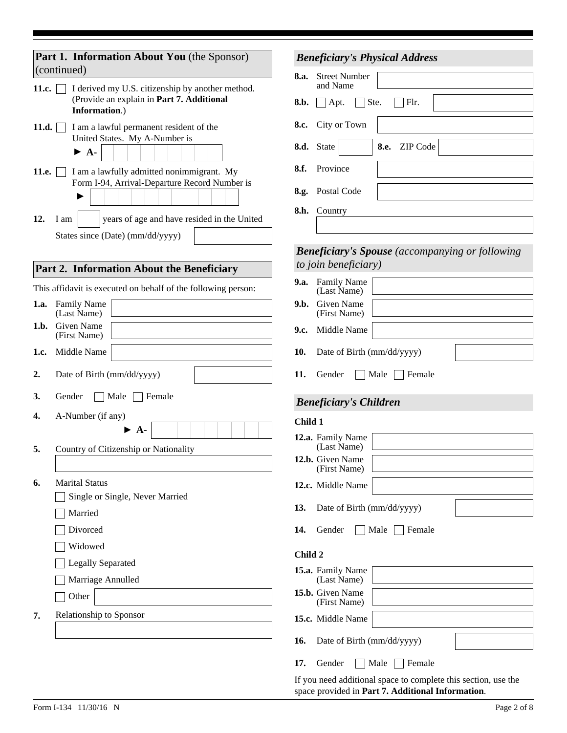| Part 1. Information About You (the Sponsor)<br>(continued)                               | <b>Beneficiary's Physical Address</b>                                          |
|------------------------------------------------------------------------------------------|--------------------------------------------------------------------------------|
| I derived my U.S. citizenship by another method.<br>11.c.                                | 8.a.<br><b>Street Number</b><br>and Name                                       |
| (Provide an explain in Part 7. Additional<br>Information.)                               | Ste.<br>Flr.<br>8.b.<br>Apt.                                                   |
| I am a lawful permanent resident of the<br>11.d.                                         | City or Town<br>8.c.                                                           |
| United States. My A-Number is<br>$\blacktriangleright$ A-                                | $\blacktriangledown$<br>8.e. ZIP Code<br>8.d. State                            |
| I am a lawfully admitted nonimmigrant. My<br>11.e.                                       | Province<br>8.f.                                                               |
| Form I-94, Arrival-Departure Record Number is                                            | 8.g. Postal Code                                                               |
|                                                                                          | 8.h. Country                                                                   |
| 12.<br>years of age and have resided in the United<br>I am                               |                                                                                |
| States since (Date) (mm/dd/yyyy)                                                         |                                                                                |
|                                                                                          | <b>Beneficiary's Spouse</b> (accompanying or following<br>to join beneficiary) |
| Part 2. Information About the Beneficiary                                                | 9.a. Family Name                                                               |
| This affidavit is executed on behalf of the following person:<br><b>1.a.</b> Family Name | (Last Name)<br>9.b. Given Name                                                 |
| (Last Name)                                                                              | (First Name)                                                                   |
| <b>Given Name</b><br>1.b.<br>(First Name)                                                | Middle Name<br>9.c.                                                            |
| Middle Name<br>1.c.                                                                      | 10.<br>Date of Birth (mm/dd/yyyy)                                              |
| Date of Birth (mm/dd/yyyy)<br>2.                                                         | Female<br>11.<br>Gender<br>Male                                                |
| Female<br>3.<br>Gender<br>Male                                                           | <b>Beneficiary's Children</b>                                                  |
| 4.<br>A-Number (if any)                                                                  | Child 1                                                                        |
| $\triangleright$ A-                                                                      | 12.a. Family Name                                                              |
| 5.<br>Country of Citizenship or Nationality                                              | (Last Name)<br>12.b. Given Name                                                |
|                                                                                          | (First Name)                                                                   |
| <b>Marital Status</b><br>6.                                                              | 12.c. Middle Name                                                              |
| Single or Single, Never Married<br>Married                                               | Date of Birth (mm/dd/yyyy)<br>13.                                              |
| Divorced                                                                                 | 14.<br>Gender<br>Male<br>Female                                                |
| Widowed                                                                                  |                                                                                |
| <b>Legally Separated</b>                                                                 | Child 2                                                                        |
| Marriage Annulled                                                                        | 15.a. Family Name<br>(Last Name)                                               |
| Other                                                                                    | 15.b. Given Name<br>(First Name)                                               |
| Relationship to Sponsor<br>7.                                                            | 15.c. Middle Name                                                              |
|                                                                                          | Date of Birth (mm/dd/yyyy)<br>16.                                              |
|                                                                                          | 17.<br>Male<br><b>Female</b><br>Gender                                         |
|                                                                                          |                                                                                |

If you need additional space to complete this section, use the space provided in **Part 7. Additional Information**.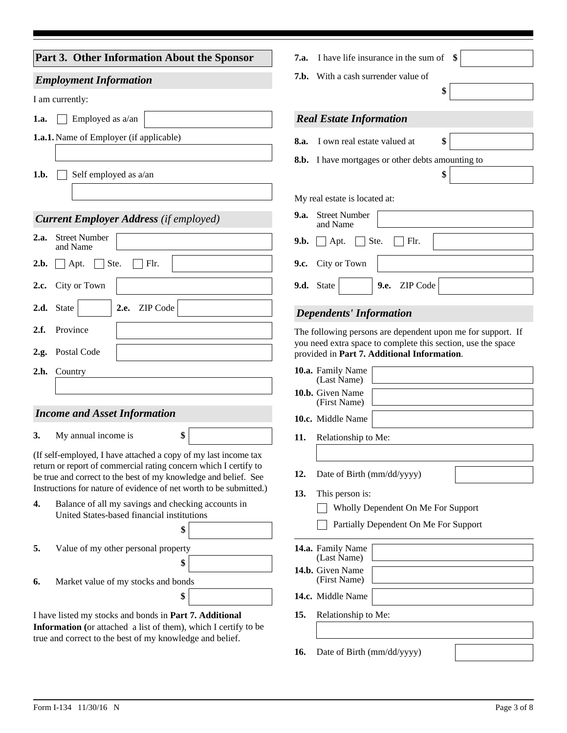| Part 3. Other Information About the Sponsor                                                                                         | I have life insurance in the sum of<br>7.a.                                                                 |
|-------------------------------------------------------------------------------------------------------------------------------------|-------------------------------------------------------------------------------------------------------------|
| <b>Employment Information</b>                                                                                                       | With a cash surrender value of<br>7.b.                                                                      |
| I am currently:                                                                                                                     | \$                                                                                                          |
| Employed as a/an<br>1.a.                                                                                                            | <b>Real Estate Information</b>                                                                              |
| <b>1.a.1.</b> Name of Employer (if applicable)                                                                                      | \$<br>I own real estate valued at                                                                           |
|                                                                                                                                     | 8.a.                                                                                                        |
| 1.b.<br>Self employed as a/an                                                                                                       | 8.b. I have mortgages or other debts amounting to<br>\$                                                     |
|                                                                                                                                     |                                                                                                             |
|                                                                                                                                     | My real estate is located at:                                                                               |
| <b>Current Employer Address</b> (if employed)                                                                                       | <b>9.a.</b> Street Number<br>and Name                                                                       |
| <b>Street Number</b><br>2.a.<br>and Name                                                                                            | Ste.<br>Flr.<br>9.b.<br>Apt.                                                                                |
| Ste.<br>Flr.<br>2.b.<br>Apt.                                                                                                        | City or Town<br>9.c.                                                                                        |
| City or Town<br>2.c.                                                                                                                | ZIP Code<br>9.d. State<br>9.e.<br>$\blacktriangledown$                                                      |
| ZIP Code<br>2.d. State<br>2.e.<br>$\vert \mathbf{v} \vert$                                                                          | <b>Dependents' Information</b>                                                                              |
| Province<br>2.f.                                                                                                                    | The following persons are dependent upon me for support. If                                                 |
| Postal Code<br>2.g.                                                                                                                 | you need extra space to complete this section, use the space<br>provided in Part 7. Additional Information. |
| 2.h.<br>Country                                                                                                                     | 10.a. Family Name<br>(Last Name)                                                                            |
|                                                                                                                                     | 10.b. Given Name                                                                                            |
| <b>Income and Asset Information</b>                                                                                                 | (First Name)<br>10.c. Middle Name                                                                           |
| My annual income is<br>\$<br>3.                                                                                                     | 11.<br>Relationship to Me:                                                                                  |
| (If self-employed, I have attached a copy of my last income tax                                                                     |                                                                                                             |
| return or report of commercial rating concern which I certify to<br>be true and correct to the best of my knowledge and belief. See | Date of Birth (mm/dd/yyyy)<br>12.                                                                           |
| Instructions for nature of evidence of net worth to be submitted.)                                                                  | This person is:<br>13.                                                                                      |
| Balance of all my savings and checking accounts in<br>4.<br>United States-based financial institutions                              | Wholly Dependent On Me For Support                                                                          |
| \$                                                                                                                                  | Partially Dependent On Me For Support                                                                       |
| 5.<br>Value of my other personal property                                                                                           | 14.a. Family Name                                                                                           |
| \$                                                                                                                                  | (Last Name)<br>14.b. Given Name                                                                             |
| Market value of my stocks and bonds<br>6.                                                                                           | (First Name)                                                                                                |
| \$                                                                                                                                  | 14.c. Middle Name                                                                                           |
| I have listed my stocks and bonds in Part 7. Additional<br>Information (or attached a list of them), which I certify to be          | 15.<br>Relationship to Me:                                                                                  |
| true and correct to the best of my knowledge and belief.                                                                            | Date of Birth (mm/dd/yyyy)<br>16.                                                                           |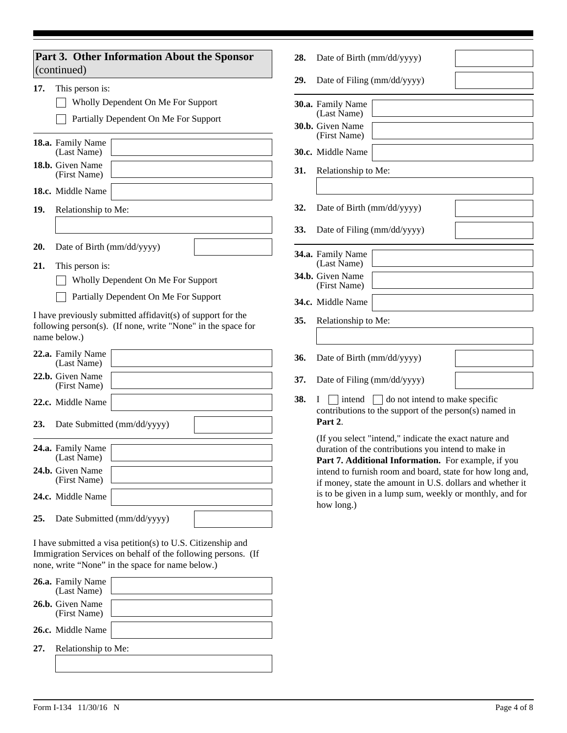|     | Part 3. Other Information About the Sponsor<br>(continued)                                                                                                                      | 28. | Date o                       |
|-----|---------------------------------------------------------------------------------------------------------------------------------------------------------------------------------|-----|------------------------------|
| 17. | This person is:                                                                                                                                                                 | 29. | Date o                       |
|     | Wholly Dependent On Me For Support                                                                                                                                              |     | 30.a. Family<br>(Last I)     |
|     | Partially Dependent On Me For Support                                                                                                                                           |     | 30.b. Given                  |
|     | 18.a. Family Name<br>(Last Name)                                                                                                                                                |     | (First)<br>30.c. Middle      |
|     | 18.b. Given Name<br>(First Name)                                                                                                                                                | 31. | Relatio                      |
|     | 18.c. Middle Name                                                                                                                                                               |     |                              |
| 19. | Relationship to Me:                                                                                                                                                             | 32. | Date o                       |
|     |                                                                                                                                                                                 | 33. | Date o                       |
| 20. | Date of Birth (mm/dd/yyyy)                                                                                                                                                      |     |                              |
| 21. | This person is:                                                                                                                                                                 |     | 34.a. Family<br>(Last l      |
|     | Wholly Dependent On Me For Support                                                                                                                                              |     | 34.b. Given<br>(First)       |
|     | Partially Dependent On Me For Support                                                                                                                                           |     | 34.c. Middle                 |
|     | I have previously submitted affidavit(s) of support for the<br>following person(s). (If none, write "None" in the space for<br>name below.)                                     | 35. | Relatio                      |
|     | 22.a. Family Name<br>(Last Name)                                                                                                                                                | 36. | Date o                       |
|     | 22.b. Given Name<br>(First Name)                                                                                                                                                | 37. | Date o                       |
|     | 22.c. Middle Name                                                                                                                                                               | 38. | L<br>contril                 |
| 23. | Date Submitted (mm/dd/yyyy)                                                                                                                                                     |     | Part 2                       |
|     | 24.a. Family Name<br>(Last Name)                                                                                                                                                |     | (If you<br>duratio<br>Part 7 |
|     | 24.b. Given Name<br>(First Name)                                                                                                                                                |     | intend<br>if mon             |
|     | 24.c. Middle Name                                                                                                                                                               |     | is to be<br>how lo           |
| 25. | Date Submitted (mm/dd/yyyy)                                                                                                                                                     |     |                              |
|     | I have submitted a visa petition(s) to U.S. Citizenship and<br>Immigration Services on behalf of the following persons. (If<br>none, write "None" in the space for name below.) |     |                              |
|     | 26.a. Family Name<br>(Last Name)                                                                                                                                                |     |                              |
|     | 26.b. Given Name<br>(First Name)                                                                                                                                                |     |                              |
|     | 26.c. Middle Name                                                                                                                                                               |     |                              |
| 27. | Relationship to Me:                                                                                                                                                             |     |                              |

| 28. | Date of Birth (mm/dd/yyyy)              |  |  |
|-----|-----------------------------------------|--|--|
| 29. | Date of Filing (mm/dd/yyyy)             |  |  |
|     | 30.a. Family Name<br>(Last Name)        |  |  |
|     | 30.b. Given Name<br>(First Name)        |  |  |
|     | <b>30.c.</b> Middle Name                |  |  |
| 31. | Relationship to Me:                     |  |  |
|     |                                         |  |  |
| 32. | Date of Birth (mm/dd/yyyy)              |  |  |
| 33. | Date of Filing (mm/dd/yyyy)             |  |  |
|     | 34.a. Family Name<br>(Last Name)        |  |  |
|     | <b>34.b.</b> Given Name<br>(First Name) |  |  |
|     | 34.c. Middle Name                       |  |  |
| 35. | Relationship to Me:                     |  |  |
|     |                                         |  |  |
| 36. | Date of Birth (mm/dd/yyyy)              |  |  |
| 37. | Date of Filing (mm/dd/yyyy)             |  |  |
|     | $\overline{\phantom{0}}$                |  |  |

**38.** I intend do not intend to make specific butions to the support of the person(s) named in **Part 2**.

u select "intend," indicate the exact nature and on of the contributions you intend to make in **7. Additional Information.** For example, if you to furnish room and board, state for how long and, hey, state the amount in U.S. dollars and whether it e given in a lump sum, weekly or monthly, and for hog.)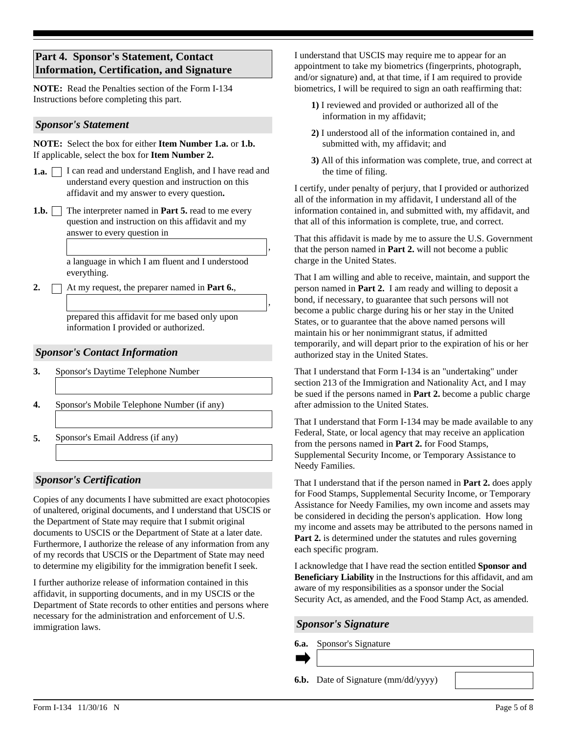# **Part 4. Sponsor's Statement, Contact Information, Certification, and Signature**

**NOTE:** Read the Penalties section of the Form I-134 Instructions before completing this part.

#### *Sponsor's Statement*

**NOTE:** Select the box for either **Item Number 1.a.** or **1.b.** If applicable, select the box for **Item Number 2.**

- 1.a.  $\Box$  I can read and understand English, and I have read and understand every question and instruction on this affidavit and my answer to every question**.**
- **1.b.** The interpreter named in **Part 5.** read to me every question and instruction on this affidavit and my answer to every question in

a language in which I am fluent and I understood everything.

2.  $\Box$  At my request, the preparer named in **Part 6.**,

prepared this affidavit for me based only upon information I provided or authorized.

#### *Sponsor's Contact Information*

- **3.** Sponsor's Daytime Telephone Number
- **4.** Sponsor's Mobile Telephone Number (if any)
- **5.** Sponsor's Email Address (if any)

## *Sponsor's Certification*

Copies of any documents I have submitted are exact photocopies of unaltered, original documents, and I understand that USCIS or the Department of State may require that I submit original documents to USCIS or the Department of State at a later date. Furthermore, I authorize the release of any information from any of my records that USCIS or the Department of State may need to determine my eligibility for the immigration benefit I seek.

I further authorize release of information contained in this affidavit, in supporting documents, and in my USCIS or the Department of State records to other entities and persons where necessary for the administration and enforcement of U.S. immigration laws.

I understand that USCIS may require me to appear for an appointment to take my biometrics (fingerprints, photograph, and/or signature) and, at that time, if I am required to provide biometrics, I will be required to sign an oath reaffirming that:

- **1)** I reviewed and provided or authorized all of the information in my affidavit;
- **2)** I understood all of the information contained in, and submitted with, my affidavit; and
- **3)** All of this information was complete, true, and correct at the time of filing.

I certify, under penalty of perjury, that I provided or authorized all of the information in my affidavit, I understand all of the information contained in, and submitted with, my affidavit, and that all of this information is complete, true, and correct.

That this affidavit is made by me to assure the U.S. Government that the person named in **Part 2.** will not become a public charge in the United States.

That I am willing and able to receive, maintain, and support the person named in **Part 2.** I am ready and willing to deposit a bond, if necessary, to guarantee that such persons will not become a public charge during his or her stay in the United States, or to guarantee that the above named persons will maintain his or her nonimmigrant status, if admitted temporarily, and will depart prior to the expiration of his or her authorized stay in the United States.

That I understand that Form I-134 is an "undertaking" under section 213 of the Immigration and Nationality Act, and I may be sued if the persons named in **Part 2.** become a public charge after admission to the United States.

That I understand that Form I-134 may be made available to any Federal, State, or local agency that may receive an application from the persons named in **Part 2.** for Food Stamps, Supplemental Security Income, or Temporary Assistance to Needy Families.

That I understand that if the person named in **Part 2.** does apply for Food Stamps, Supplemental Security Income, or Temporary Assistance for Needy Families, my own income and assets may be considered in deciding the person's application. How long my income and assets may be attributed to the persons named in Part 2. is determined under the statutes and rules governing each specific program.

I acknowledge that I have read the section entitled **Sponsor and Beneficiary Liability** in the Instructions for this affidavit, and am aware of my responsibilities as a sponsor under the Social Security Act, as amended, and the Food Stamp Act, as amended.

*Sponsor's Signature*

**6.a.** Sponsor's Signature

,

,

**6.b.** Date of Signature (mm/dd/yyyy)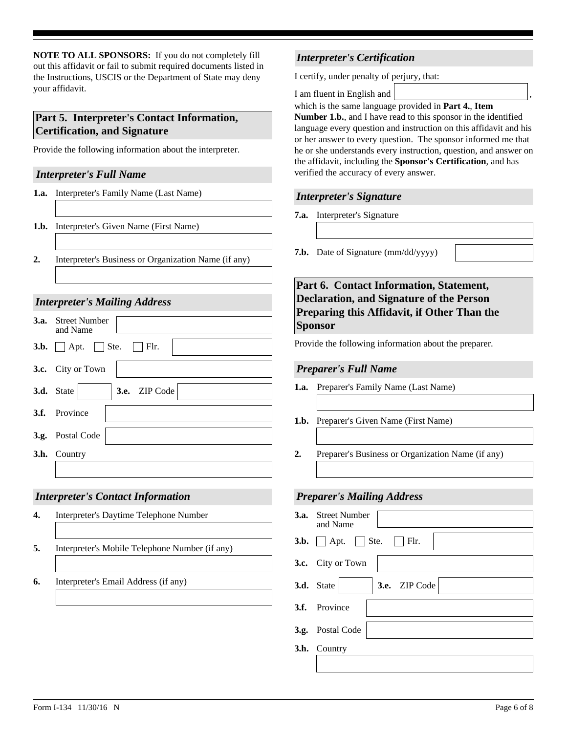**NOTE TO ALL SPONSORS:** If you do not completely fill out this affidavit or fail to submit required documents listed in the Instructions, USCIS or the Department of State may deny your affidavit.

# **Part 5. Interpreter's Contact Information, Certification, and Signature**

Provide the following information about the interpreter.

#### *Interpreter's Full Name*

- **1.a.** Interpreter's Family Name (Last Name)
- **1.b.** Interpreter's Given Name (First Name)
- **2.** Interpreter's Business or Organization Name (if any)

## *Interpreter's Mailing Address*

| <b>3.a.</b> Street Number<br>and Name             |
|---------------------------------------------------|
| <b>3.b.</b> $\Box$ Apt. $\Box$ Ste. $\Box$ Flr.   |
| 3.c. City or Town                                 |
| $\blacktriangleright$ 3.e. ZIP Code<br>3.d. State |
| 3.f. Province                                     |
| 3.g. Postal Code                                  |
| 3.h. Country                                      |
|                                                   |

## *Interpreter's Contact Information*

- Interpreter's Daytime Telephone Number **4.**
- **5.** Interpreter's Mobile Telephone Number (if any)
- **6.** Interpreter's Email Address (if any)

# *Interpreter's Certification*

I certify, under penalty of perjury, that:

I am fluent in English and ,

which is the same language provided in **Part 4.**, **Item** 

**Number 1.b.**, and I have read to this sponsor in the identified language every question and instruction on this affidavit and his or her answer to every question. The sponsor informed me that he or she understands every instruction, question, and answer on the affidavit, including the **Sponsor's Certification**, and has verified the accuracy of every answer.

#### *Interpreter's Signature*

- **7.a.** Interpreter's Signature
- **7.b.** Date of Signature (mm/dd/yyyy)

**Part 6. Contact Information, Statement, Declaration, and Signature of the Person Preparing this Affidavit, if Other Than the Sponsor** 

Provide the following information about the preparer.

## *Preparer's Full Name*

- **1.a.** Preparer's Family Name (Last Name)
- **1.b.** Preparer's Given Name (First Name)
- **2.** Preparer's Business or Organization Name (if any)

## *Preparer's Mailing Address*

| <b>3.a.</b> Street Number<br>and Name             |
|---------------------------------------------------|
| $3.b.$ Apt. Ste.<br>$\blacksquare$ Flr.           |
| 3.c. City or Town                                 |
| $\blacktriangleright$ 3.e. ZIP Code<br>3.d. State |
| 3.f. Province                                     |
| 3.g. Postal Code                                  |
| 3.h. Country                                      |
|                                                   |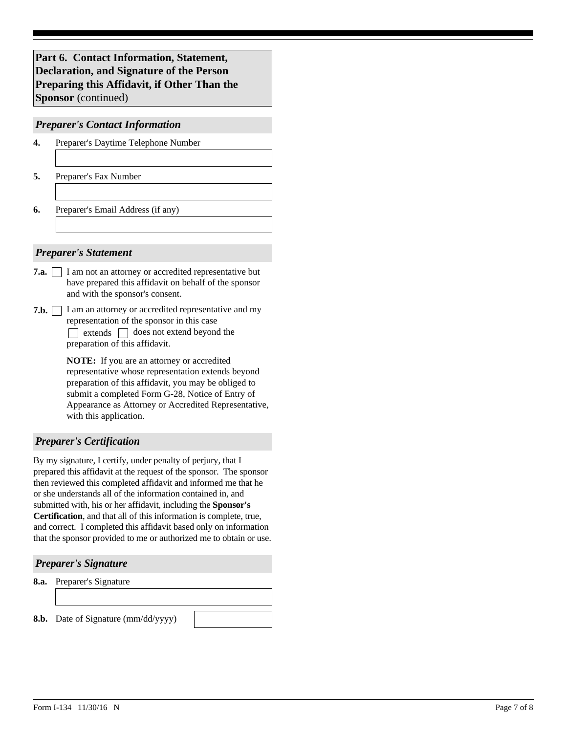**Part 6. Contact Information, Statement, Declaration, and Signature of the Person Preparing this Affidavit, if Other Than the Sponsor** (continued)

#### *Preparer's Contact Information*

- Preparer's Daytime Telephone Number **4.**
- **5.** Preparer's Fax Number
- **6.** Preparer's Email Address (if any)

#### *Preparer's Statement*

- **7.a.** I am not an attorney or accredited representative but have prepared this affidavit on behalf of the sponsor and with the sponsor's consent.
- **7.b.** I am an attorney or accredited representative and my representation of the sponsor in this case  $\Box$  extends  $\Box$  does not extend beyond the

**NOTE:** If you are an attorney or accredited representative whose representation extends beyond preparation of this affidavit, you may be obliged to preparation of this affidavit.

submit a completed Form G-28, Notice of Entry of Appearance as Attorney or Accredited Representative, with this application.

## *Preparer's Certification*

By my signature, I certify, under penalty of perjury, that I prepared this affidavit at the request of the sponsor. The sponsor then reviewed this completed affidavit and informed me that he or she understands all of the information contained in, and submitted with, his or her affidavit, including the **Sponsor's Certification**, and that all of this information is complete, true, and correct. I completed this affidavit based only on information that the sponsor provided to me or authorized me to obtain or use.

#### *Preparer's Signature*

**8.a.** Preparer's Signature

**8.b.** Date of Signature (mm/dd/yyyy)